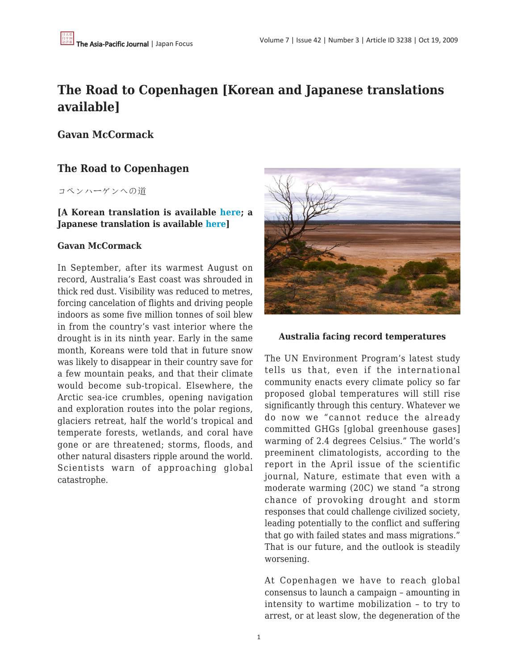# **The Road to Copenhagen [Korean and Japanese translations available]**

**Gavan McCormack**

## **The Road to Copenhagen**

コペンハーゲンへの道

## **[A Korean translation is available [here;](http://news.khan.co.kr/kh_news/art_print.html?artid=200910121826051) a Japanese translation is available [here](http://groups.yahoo.co.jp/group/TUP-Bulletin/message/873)]**

### **Gavan McCormack**

In September, after its warmest August on record, Australia's East coast was shrouded in thick red dust. Visibility was reduced to metres, forcing cancelation of flights and driving people indoors as some five million tonnes of soil blew in from the country's vast interior where the drought is in its ninth year. Early in the same month, Koreans were told that in future snow was likely to disappear in their country save for a few mountain peaks, and that their climate would become sub-tropical. Elsewhere, the Arctic sea-ice crumbles, opening navigation and exploration routes into the polar regions, glaciers retreat, half the world's tropical and temperate forests, wetlands, and coral have gone or are threatened; storms, floods, and other natural disasters ripple around the world. Scientists warn of approaching global catastrophe.



#### **Australia facing record temperatures**

The UN Environment Program's latest study tells us that, even if the international community enacts every climate policy so far proposed global temperatures will still rise significantly through this century. Whatever we do now we "cannot reduce the already committed GHGs [global greenhouse gases] warming of 2.4 degrees Celsius." The world's preeminent climatologists, according to the report in the April issue of the scientific journal, Nature, estimate that even with a moderate warming (20C) we stand "a strong chance of provoking drought and storm responses that could challenge civilized society, leading potentially to the conflict and suffering that go with failed states and mass migrations." That is our future, and the outlook is steadily worsening.

At Copenhagen we have to reach global consensus to launch a campaign – amounting in intensity to wartime mobilization – to try to arrest, or at least slow, the degeneration of the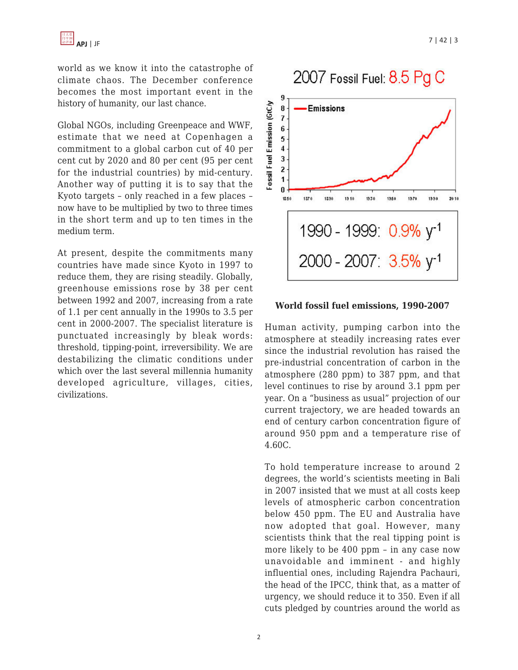world as we know it into the catastrophe of climate chaos. The December conference becomes the most important event in the history of humanity, our last chance.

Global NGOs, including Greenpeace and WWF, estimate that we need at Copenhagen a commitment to a global carbon cut of 40 per cent cut by 2020 and 80 per cent (95 per cent for the industrial countries) by mid-century. Another way of putting it is to say that the Kyoto targets – only reached in a few places – now have to be multiplied by two to three times in the short term and up to ten times in the medium term.

At present, despite the commitments many countries have made since Kyoto in 1997 to reduce them, they are rising steadily. Globally, greenhouse emissions rose by 38 per cent between 1992 and 2007, increasing from a rate of 1.1 per cent annually in the 1990s to 3.5 per cent in 2000-2007. The specialist literature is punctuated increasingly by bleak words: threshold, tipping-point, irreversibility. We are destabilizing the climatic conditions under which over the last several millennia humanity developed agriculture, villages, cities, civilizations.



#### **World fossil fuel emissions, 1990-2007**

Human activity, pumping carbon into the atmosphere at steadily increasing rates ever since the industrial revolution has raised the pre-industrial concentration of carbon in the atmosphere (280 ppm) to 387 ppm, and that level continues to rise by around 3.1 ppm per year. On a "business as usual" projection of our current trajectory, we are headed towards an end of century carbon concentration figure of around 950 ppm and a temperature rise of 4.60C.

To hold temperature increase to around 2 degrees, the world's scientists meeting in Bali in 2007 insisted that we must at all costs keep levels of atmospheric carbon concentration below 450 ppm. The EU and Australia have now adopted that goal. However, many scientists think that the real tipping point is more likely to be 400 ppm – in any case now unavoidable and imminent - and highly influential ones, including Rajendra Pachauri, the head of the IPCC, think that, as a matter of urgency, we should reduce it to 350. Even if all cuts pledged by countries around the world as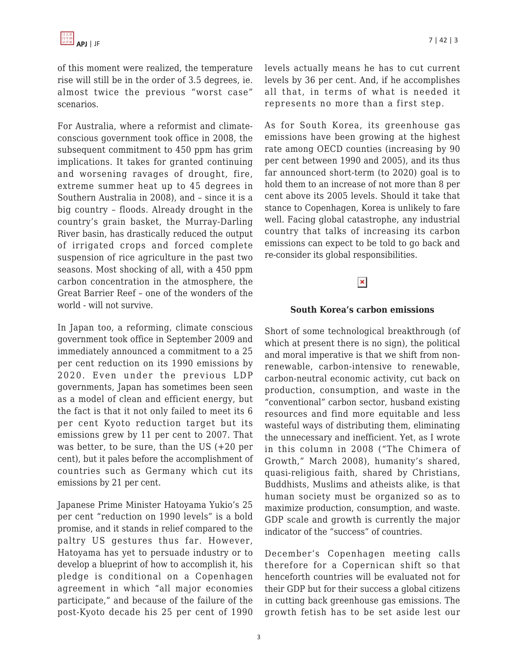of this moment were realized, the temperature rise will still be in the order of 3.5 degrees, ie. almost twice the previous "worst case" scenarios.

For Australia, where a reformist and climateconscious government took office in 2008, the subsequent commitment to 450 ppm has grim implications. It takes for granted continuing and worsening ravages of drought, fire, extreme summer heat up to 45 degrees in Southern Australia in 2008), and – since it is a big country – floods. Already drought in the country's grain basket, the Murray-Darling River basin, has drastically reduced the output of irrigated crops and forced complete suspension of rice agriculture in the past two seasons. Most shocking of all, with a 450 ppm carbon concentration in the atmosphere, the Great Barrier Reef – one of the wonders of the world - will not survive.

In Japan too, a reforming, climate conscious government took office in September 2009 and immediately announced a commitment to a 25 per cent reduction on its 1990 emissions by 2020. Even under the previous LDP governments, Japan has sometimes been seen as a model of clean and efficient energy, but the fact is that it not only failed to meet its 6 per cent Kyoto reduction target but its emissions grew by 11 per cent to 2007. That was better, to be sure, than the US (+20 per cent), but it pales before the accomplishment of countries such as Germany which cut its emissions by 21 per cent.

Japanese Prime Minister Hatoyama Yukio's 25 per cent "reduction on 1990 levels" is a bold promise, and it stands in relief compared to the paltry US gestures thus far. However, Hatoyama has yet to persuade industry or to develop a blueprint of how to accomplish it, his pledge is conditional on a Copenhagen agreement in which "all major economies participate," and because of the failure of the post-Kyoto decade his 25 per cent of 1990 levels actually means he has to cut current levels by 36 per cent. And, if he accomplishes all that, in terms of what is needed it represents no more than a first step.

As for South Korea, its greenhouse gas emissions have been growing at the highest rate among OECD counties (increasing by 90 per cent between 1990 and 2005), and its thus far announced short-term (to 2020) goal is to hold them to an increase of not more than 8 per cent above its 2005 levels. Should it take that stance to Copenhagen, Korea is unlikely to fare well. Facing global catastrophe, any industrial country that talks of increasing its carbon emissions can expect to be told to go back and re-consider its global responsibilities.

## $\pmb{\times}$

#### **South Korea's carbon emissions**

Short of some technological breakthrough (of which at present there is no sign), the political and moral imperative is that we shift from nonrenewable, carbon-intensive to renewable, carbon-neutral economic activity, cut back on production, consumption, and waste in the "conventional" carbon sector, husband existing resources and find more equitable and less wasteful ways of distributing them, eliminating the unnecessary and inefficient. Yet, as I wrote in this column in 2008 ("The Chimera of Growth," March 2008), humanity's shared, quasi-religious faith, shared by Christians, Buddhists, Muslims and atheists alike, is that human society must be organized so as to maximize production, consumption, and waste. GDP scale and growth is currently the major indicator of the "success" of countries.

December's Copenhagen meeting calls therefore for a Copernican shift so that henceforth countries will be evaluated not for their GDP but for their success a global citizens in cutting back greenhouse gas emissions. The growth fetish has to be set aside lest our